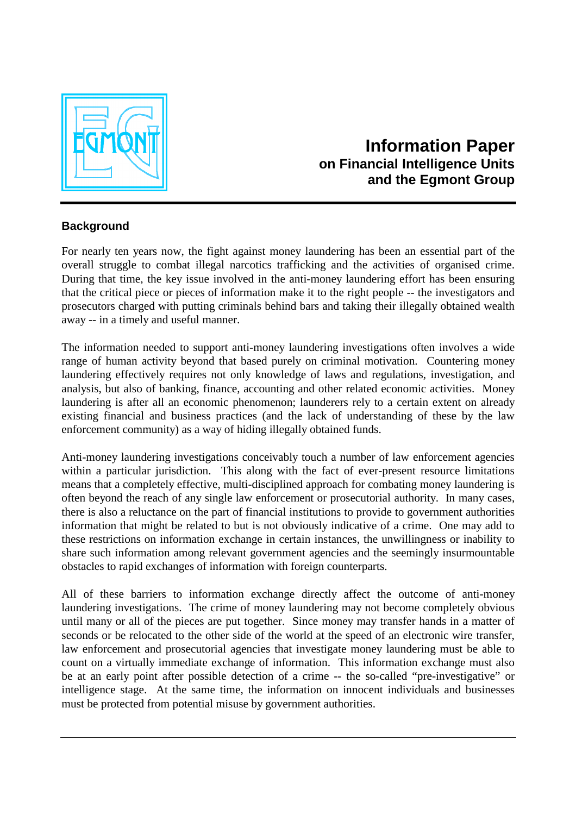

## **Background**

For nearly ten years now, the fight against money laundering has been an essential part of the overall struggle to combat illegal narcotics trafficking and the activities of organised crime. During that time, the key issue involved in the anti-money laundering effort has been ensuring that the critical piece or pieces of information make it to the right people -- the investigators and prosecutors charged with putting criminals behind bars and taking their illegally obtained wealth away -- in a timely and useful manner.

The information needed to support anti-money laundering investigations often involves a wide range of human activity beyond that based purely on criminal motivation. Countering money laundering effectively requires not only knowledge of laws and regulations, investigation, and analysis, but also of banking, finance, accounting and other related economic activities. Money laundering is after all an economic phenomenon; launderers rely to a certain extent on already existing financial and business practices (and the lack of understanding of these by the law enforcement community) as a way of hiding illegally obtained funds.

Anti-money laundering investigations conceivably touch a number of law enforcement agencies within a particular jurisdiction. This along with the fact of ever-present resource limitations means that a completely effective, multi-disciplined approach for combating money laundering is often beyond the reach of any single law enforcement or prosecutorial authority. In many cases, there is also a reluctance on the part of financial institutions to provide to government authorities information that might be related to but is not obviously indicative of a crime. One may add to these restrictions on information exchange in certain instances, the unwillingness or inability to share such information among relevant government agencies and the seemingly insurmountable obstacles to rapid exchanges of information with foreign counterparts.

All of these barriers to information exchange directly affect the outcome of anti-money laundering investigations. The crime of money laundering may not become completely obvious until many or all of the pieces are put together. Since money may transfer hands in a matter of seconds or be relocated to the other side of the world at the speed of an electronic wire transfer, law enforcement and prosecutorial agencies that investigate money laundering must be able to count on a virtually immediate exchange of information. This information exchange must also be at an early point after possible detection of a crime -- the so-called "pre-investigative" or intelligence stage. At the same time, the information on innocent individuals and businesses must be protected from potential misuse by government authorities.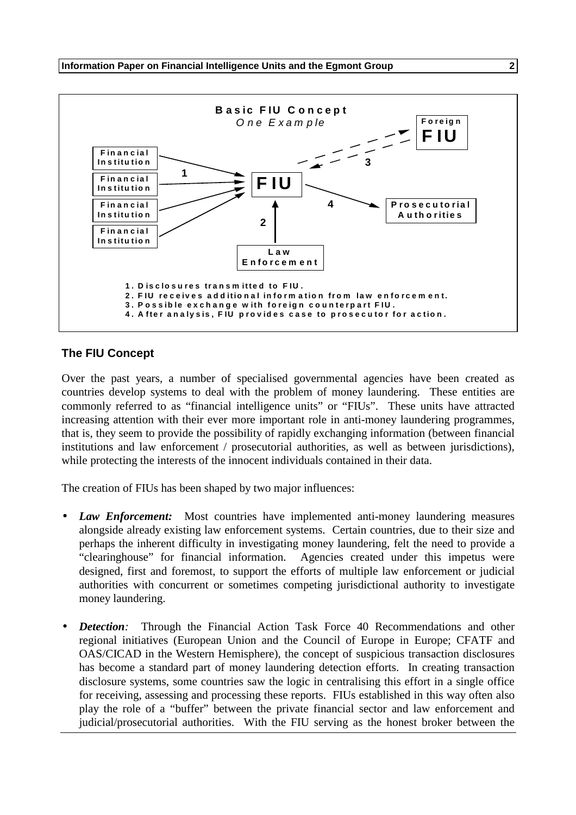

## **The FIU Concept**

Over the past years, a number of specialised governmental agencies have been created as countries develop systems to deal with the problem of money laundering. These entities are commonly referred to as "financial intelligence units" or "FIUs". These units have attracted increasing attention with their ever more important role in anti-money laundering programmes, that is, they seem to provide the possibility of rapidly exchanging information (between financial institutions and law enforcement / prosecutorial authorities, as well as between jurisdictions), while protecting the interests of the innocent individuals contained in their data.

The creation of FIUs has been shaped by two major influences:

- **Law Enforcement:** Most countries have implemented anti-money laundering measures alongside already existing law enforcement systems. Certain countries, due to their size and perhaps the inherent difficulty in investigating money laundering, felt the need to provide a "clearinghouse" for financial information. Agencies created under this impetus were designed, first and foremost, to support the efforts of multiple law enforcement or judicial authorities with concurrent or sometimes competing jurisdictional authority to investigate money laundering.
- *Detection:* Through the Financial Action Task Force 40 Recommendations and other regional initiatives (European Union and the Council of Europe in Europe; CFATF and OAS/CICAD in the Western Hemisphere), the concept of suspicious transaction disclosures has become a standard part of money laundering detection efforts. In creating transaction disclosure systems, some countries saw the logic in centralising this effort in a single office for receiving, assessing and processing these reports. FIUs established in this way often also play the role of a "buffer" between the private financial sector and law enforcement and judicial/prosecutorial authorities. With the FIU serving as the honest broker between the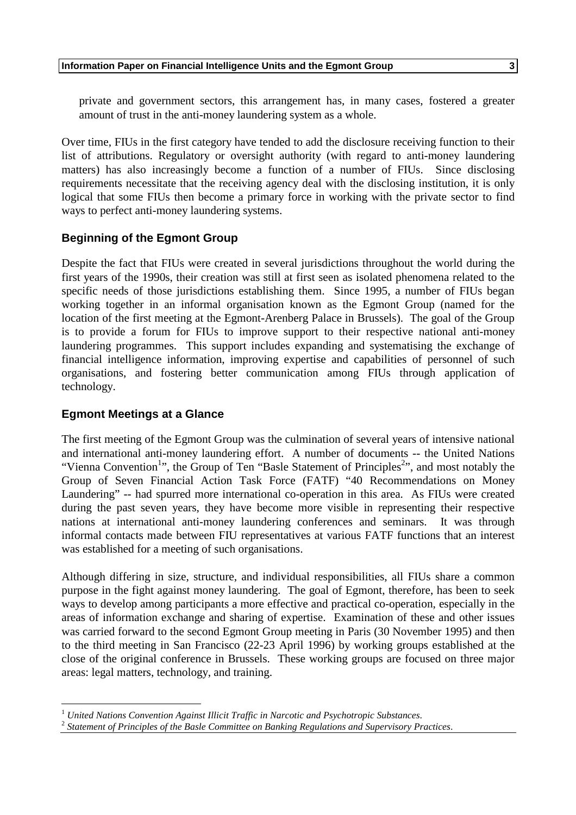private and government sectors, this arrangement has, in many cases, fostered a greater amount of trust in the anti-money laundering system as a whole.

Over time, FIUs in the first category have tended to add the disclosure receiving function to their list of attributions. Regulatory or oversight authority (with regard to anti-money laundering matters) has also increasingly become a function of a number of FIUs. Since disclosing requirements necessitate that the receiving agency deal with the disclosing institution, it is only logical that some FIUs then become a primary force in working with the private sector to find ways to perfect anti-money laundering systems.

# **Beginning of the Egmont Group**

Despite the fact that FIUs were created in several jurisdictions throughout the world during the first years of the 1990s, their creation was still at first seen as isolated phenomena related to the specific needs of those jurisdictions establishing them. Since 1995, a number of FIUs began working together in an informal organisation known as the Egmont Group (named for the location of the first meeting at the Egmont-Arenberg Palace in Brussels). The goal of the Group is to provide a forum for FIUs to improve support to their respective national anti-money laundering programmes. This support includes expanding and systematising the exchange of financial intelligence information, improving expertise and capabilities of personnel of such organisations, and fostering better communication among FIUs through application of technology.

## **Egmont Meetings at a Glance**

<u>.</u>

The first meeting of the Egmont Group was the culmination of several years of intensive national and international anti-money laundering effort. A number of documents -- the United Nations "Vienna Convention<sup>1</sup>", the Group of Ten "Basle Statement of Principles<sup>2</sup>", and most notably the Group of Seven Financial Action Task Force (FATF) "40 Recommendations on Money Laundering" -- had spurred more international co-operation in this area. As FIUs were created during the past seven years, they have become more visible in representing their respective nations at international anti-money laundering conferences and seminars. It was through informal contacts made between FIU representatives at various FATF functions that an interest was established for a meeting of such organisations.

Although differing in size, structure, and individual responsibilities, all FIUs share a common purpose in the fight against money laundering. The goal of Egmont, therefore, has been to seek ways to develop among participants a more effective and practical co-operation, especially in the areas of information exchange and sharing of expertise. Examination of these and other issues was carried forward to the second Egmont Group meeting in Paris (30 November 1995) and then to the third meeting in San Francisco (22-23 April 1996) by working groups established at the close of the original conference in Brussels. These working groups are focused on three major areas: legal matters, technology, and training.

<sup>&</sup>lt;sup>1</sup> *United Nations Convention Against Illicit Traffic in Narcotic and Psychotropic Substances.* <sup>2</sup> *Statement of Principles of the Basle Committee on Banking Regulations and Supervisory Practices.*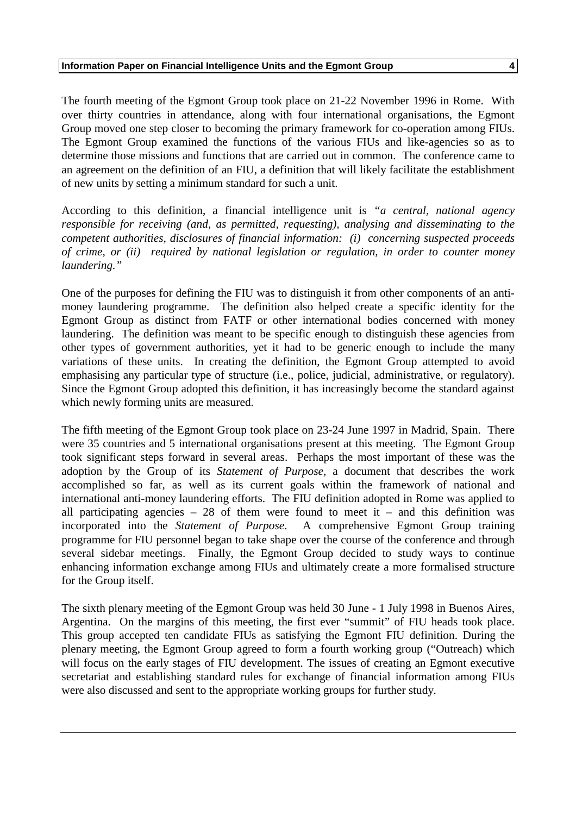The fourth meeting of the Egmont Group took place on 21-22 November 1996 in Rome. With over thirty countries in attendance, along with four international organisations, the Egmont Group moved one step closer to becoming the primary framework for co-operation among FIUs. The Egmont Group examined the functions of the various FIUs and like-agencies so as to determine those missions and functions that are carried out in common. The conference came to an agreement on the definition of an FIU, a definition that will likely facilitate the establishment of new units by setting a minimum standard for such a unit.

According to this definition, a financial intelligence unit is *"a central, national agency responsible for receiving (and, as permitted, requesting), analysing and disseminating to the competent authorities, disclosures of financial information: (i) concerning suspected proceeds of crime, or (ii) required by national legislation or regulation, in order to counter money laundering."*

One of the purposes for defining the FIU was to distinguish it from other components of an antimoney laundering programme. The definition also helped create a specific identity for the Egmont Group as distinct from FATF or other international bodies concerned with money laundering. The definition was meant to be specific enough to distinguish these agencies from other types of government authorities, yet it had to be generic enough to include the many variations of these units. In creating the definition, the Egmont Group attempted to avoid emphasising any particular type of structure (i.e., police, judicial, administrative, or regulatory). Since the Egmont Group adopted this definition, it has increasingly become the standard against which newly forming units are measured.

The fifth meeting of the Egmont Group took place on 23-24 June 1997 in Madrid, Spain. There were 35 countries and 5 international organisations present at this meeting. The Egmont Group took significant steps forward in several areas. Perhaps the most important of these was the adoption by the Group of its *Statement of Purpose,* a document that describes the work accomplished so far, as well as its current goals within the framework of national and international anti-money laundering efforts. The FIU definition adopted in Rome was applied to all participating agencies  $-28$  of them were found to meet it – and this definition was incorporated into the *Statement of Purpose*. A comprehensive Egmont Group training programme for FIU personnel began to take shape over the course of the conference and through several sidebar meetings. Finally, the Egmont Group decided to study ways to continue enhancing information exchange among FIUs and ultimately create a more formalised structure for the Group itself.

The sixth plenary meeting of the Egmont Group was held 30 June - 1 July 1998 in Buenos Aires, Argentina. On the margins of this meeting, the first ever "summit" of FIU heads took place. This group accepted ten candidate FIUs as satisfying the Egmont FIU definition. During the plenary meeting, the Egmont Group agreed to form a fourth working group ("Outreach) which will focus on the early stages of FIU development. The issues of creating an Egmont executive secretariat and establishing standard rules for exchange of financial information among FIUs were also discussed and sent to the appropriate working groups for further study.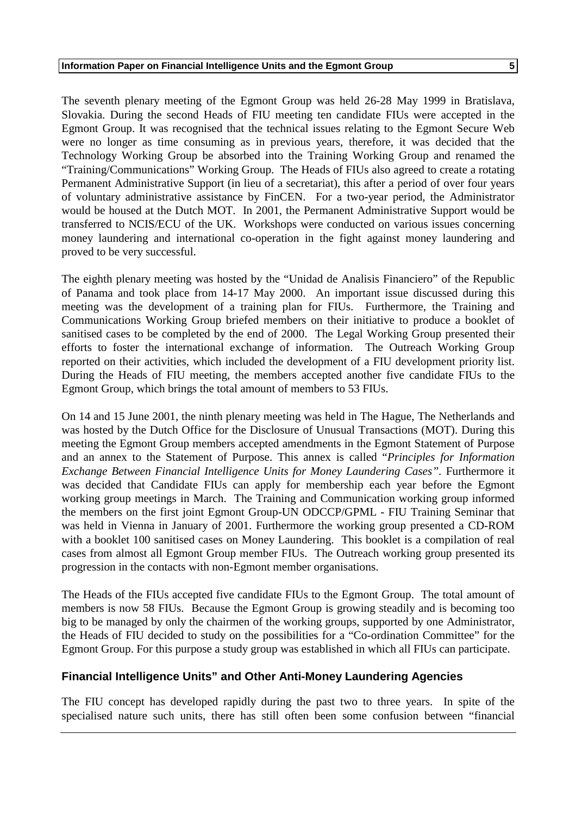The seventh plenary meeting of the Egmont Group was held 26-28 May 1999 in Bratislava, Slovakia. During the second Heads of FIU meeting ten candidate FIUs were accepted in the Egmont Group. It was recognised that the technical issues relating to the Egmont Secure Web were no longer as time consuming as in previous years, therefore, it was decided that the Technology Working Group be absorbed into the Training Working Group and renamed the "Training/Communications" Working Group. The Heads of FIUs also agreed to create a rotating Permanent Administrative Support (in lieu of a secretariat), this after a period of over four years of voluntary administrative assistance by FinCEN. For a two-year period, the Administrator would be housed at the Dutch MOT. In 2001, the Permanent Administrative Support would be transferred to NCIS/ECU of the UK. Workshops were conducted on various issues concerning money laundering and international co-operation in the fight against money laundering and proved to be very successful.

The eighth plenary meeting was hosted by the "Unidad de Analisis Financiero" of the Republic of Panama and took place from 14-17 May 2000. An important issue discussed during this meeting was the development of a training plan for FIUs. Furthermore, the Training and Communications Working Group briefed members on their initiative to produce a booklet of sanitised cases to be completed by the end of 2000. The Legal Working Group presented their efforts to foster the international exchange of information. The Outreach Working Group reported on their activities, which included the development of a FIU development priority list. During the Heads of FIU meeting, the members accepted another five candidate FIUs to the Egmont Group, which brings the total amount of members to 53 FIUs.

On 14 and 15 June 2001, the ninth plenary meeting was held in The Hague, The Netherlands and was hosted by the Dutch Office for the Disclosure of Unusual Transactions (MOT). During this meeting the Egmont Group members accepted amendments in the Egmont Statement of Purpose and an annex to the Statement of Purpose. This annex is called "*Principles for Information Exchange Between Financial Intelligence Units for Money Laundering Cases".* Furthermore it was decided that Candidate FIUs can apply for membership each year before the Egmont working group meetings in March. The Training and Communication working group informed the members on the first joint Egmont Group-UN ODCCP/GPML - FIU Training Seminar that was held in Vienna in January of 2001. Furthermore the working group presented a CD-ROM with a booklet 100 sanitised cases on Money Laundering. This booklet is a compilation of real cases from almost all Egmont Group member FIUs. The Outreach working group presented its progression in the contacts with non-Egmont member organisations.

The Heads of the FIUs accepted five candidate FIUs to the Egmont Group. The total amount of members is now 58 FIUs. Because the Egmont Group is growing steadily and is becoming too big to be managed by only the chairmen of the working groups, supported by one Administrator, the Heads of FIU decided to study on the possibilities for a "Co-ordination Committee" for the Egmont Group. For this purpose a study group was established in which all FIUs can participate.

# **Financial Intelligence Units" and Other Anti-Money Laundering Agencies**

The FIU concept has developed rapidly during the past two to three years. In spite of the specialised nature such units, there has still often been some confusion between "financial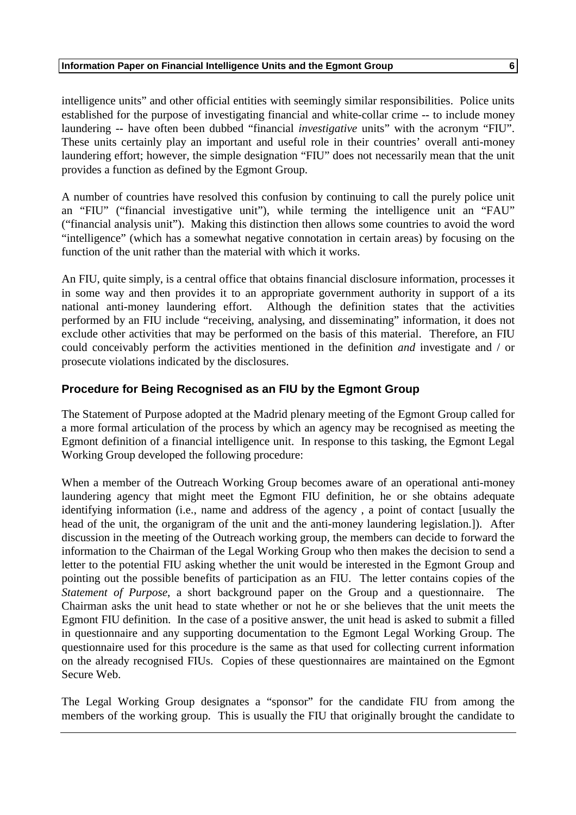intelligence units" and other official entities with seemingly similar responsibilities. Police units established for the purpose of investigating financial and white-collar crime -- to include money laundering -- have often been dubbed "financial *investigative* units" with the acronym "FIU". These units certainly play an important and useful role in their countries' overall anti-money laundering effort; however, the simple designation "FIU" does not necessarily mean that the unit provides a function as defined by the Egmont Group.

A number of countries have resolved this confusion by continuing to call the purely police unit an "FIU" ("financial investigative unit"), while terming the intelligence unit an "FAU" ("financial analysis unit"). Making this distinction then allows some countries to avoid the word "intelligence" (which has a somewhat negative connotation in certain areas) by focusing on the function of the unit rather than the material with which it works.

An FIU, quite simply, is a central office that obtains financial disclosure information, processes it in some way and then provides it to an appropriate government authority in support of a its national anti-money laundering effort. Although the definition states that the activities performed by an FIU include "receiving, analysing, and disseminating" information, it does not exclude other activities that may be performed on the basis of this material. Therefore, an FIU could conceivably perform the activities mentioned in the definition *and* investigate and / or prosecute violations indicated by the disclosures.

## **Procedure for Being Recognised as an FIU by the Egmont Group**

The Statement of Purpose adopted at the Madrid plenary meeting of the Egmont Group called for a more formal articulation of the process by which an agency may be recognised as meeting the Egmont definition of a financial intelligence unit. In response to this tasking, the Egmont Legal Working Group developed the following procedure:

When a member of the Outreach Working Group becomes aware of an operational anti-money laundering agency that might meet the Egmont FIU definition, he or she obtains adequate identifying information (i.e., name and address of the agency , a point of contact [usually the head of the unit, the organigram of the unit and the anti-money laundering legislation.]). After discussion in the meeting of the Outreach working group, the members can decide to forward the information to the Chairman of the Legal Working Group who then makes the decision to send a letter to the potential FIU asking whether the unit would be interested in the Egmont Group and pointing out the possible benefits of participation as an FIU. The letter contains copies of the *Statement of Purpose*, a short background paper on the Group and a questionnaire. The Chairman asks the unit head to state whether or not he or she believes that the unit meets the Egmont FIU definition. In the case of a positive answer, the unit head is asked to submit a filled in questionnaire and any supporting documentation to the Egmont Legal Working Group. The questionnaire used for this procedure is the same as that used for collecting current information on the already recognised FIUs. Copies of these questionnaires are maintained on the Egmont Secure Web.

The Legal Working Group designates a "sponsor" for the candidate FIU from among the members of the working group. This is usually the FIU that originally brought the candidate to